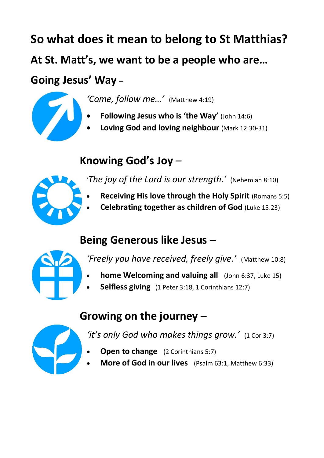**So what does it mean to belong to St Matthias? At St. Matt's, we want to be a people who are…**

## **Going Jesus' Way –**



- *'Come, follow me…'* (Matthew 4:19)
- **Following Jesus who is 'the Way'** (John 14:6)
- **Loving God and loving neighbour** (Mark 12:30-31)

## **Knowing God's Joy** –



- '*The joy of the Lord is our strength.'* (Nehemiah 8:10)
- **Receiving His love through the Holy Spirit** (Romans 5:5)
- **Celebrating together as children of God** (Luke 15:23)

## **Being Generous like Jesus –**



*'Freely you have received, freely give.'* (Matthew 10:8)

- **home Welcoming and valuing all** (John 6:37, Luke 15)
- **Selfless giving** (1 Peter 3:18, 1 Corinthians 12:7)

## **Growing on the journey –**



*'it's only God who makes things grow.'*(1 Cor 3:7)

- **Open to change** (2 Corinthians 5:7)
- **More of God in our lives** (Psalm 63:1, Matthew 6:33)